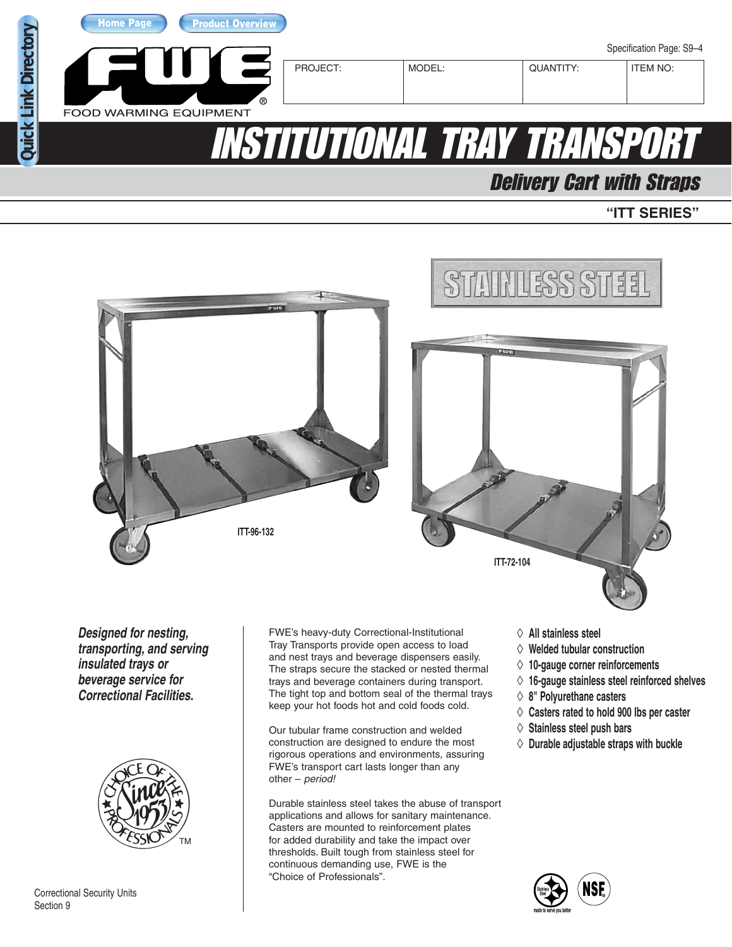

Delivery Cart with Straps

### **"ITT SERIES"**



**Designed for nesting, transporting, and serving insulated trays or beverage service for Correctional Facilities.**



Correctional Security Units Section 9

FWE's heavy-duty Correctional-Institutional Tray Transports provide open access to load and nest trays and beverage dispensers easily. The straps secure the stacked or nested thermal trays and beverage containers during transport. The tight top and bottom seal of the thermal trays keep your hot foods hot and cold foods cold.

Our tubular frame construction and welded construction are designed to endure the most rigorous operations and environments, assuring FWE's transport cart lasts longer than any other – period!

Durable stainless steel takes the abuse of transport applications and allows for sanitary maintenance. Casters are mounted to reinforcement plates for added durability and take the impact over thresholds. Built tough from stainless steel for continuous demanding use, FWE is the "Choice of Professionals".

- ◊ **All stainless steel**
- ◊ **Welded tubular construction**
- ◊ **10-gauge corner reinforcements**
- ◊ **16-gauge stainless steel reinforced shelves**
- ◊ **8" Polyurethane casters**
- ◊ **Casters rated to hold 900 lbs per caster**
- ◊ **Stainless steel push bars**
- ◊ **Durable adjustable straps with buckle**